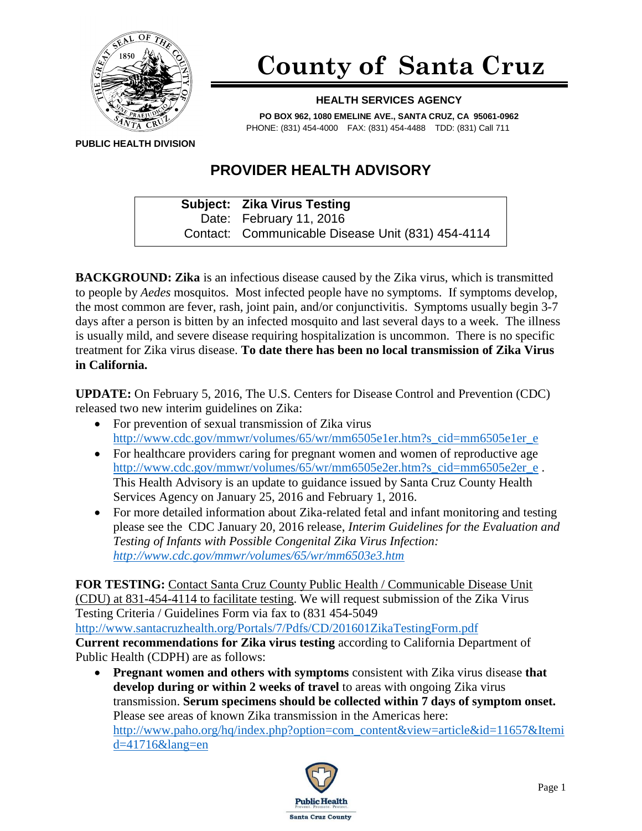

## **County of Santa Cruz**

## **HEALTH SERVICES AGENCY**

**PO BOX 962, 1080 EMELINE AVE., SANTA CRUZ, CA 95061-0962** PHONE: (831) 454-4000 FAX: (831) 454-4488 TDD: (831) Call 711

**PUBLIC HEALTH DIVISION**

## **PROVIDER HEALTH ADVISORY**

**Subject: Zika Virus Testing** Date: February 11, 2016 Contact: Communicable Disease Unit (831) 454-4114

**BACKGROUND: Zika** is an infectious disease caused by the Zika virus, which is transmitted to people by *Aedes* mosquitos. Most infected people have no symptoms. If symptoms develop, the most common are fever, rash, joint pain, and/or conjunctivitis. Symptoms usually begin 3-7 days after a person is bitten by an infected mosquito and last several days to a week. The illness is usually mild, and severe disease requiring hospitalization is uncommon. There is no specific treatment for Zika virus disease. **To date there has been no local transmission of Zika Virus in California.**

**UPDATE:** On February 5, 2016, The U.S. Centers for Disease Control and Prevention (CDC) released two new interim guidelines on Zika:

- For prevention of sexual transmission of Zika virus [http://www.cdc.gov/mmwr/volumes/65/wr/mm6505e1er.htm?s\\_cid=mm6505e1er\\_e](http://www.cdc.gov/mmwr/volumes/65/wr/mm6505e1er.htm?s_cid=mm6505e1er_e)
- For healthcare providers caring for pregnant women and women of reproductive age [http://www.cdc.gov/mmwr/volumes/65/wr/mm6505e2er.htm?s\\_cid=mm6505e2er\\_e](http://www.cdc.gov/mmwr/volumes/65/wr/mm6505e2er.htm?s_cid=mm6505e2er_e). This Health Advisory is an update to guidance issued by Santa Cruz County Health Services Agency on January 25, 2016 and February 1, 2016.
- For more detailed information about Zika-related fetal and infant monitoring and testing please see the CDC January 20, 2016 release, *Interim Guidelines for the Evaluation and Testing of Infants with Possible Congenital Zika Virus Infection: <http://www.cdc.gov/mmwr/volumes/65/wr/mm6503e3.htm>*

**FOR TESTING:** Contact Santa Cruz County Public Health / Communicable Disease Unit (CDU) at 831-454-4114 to facilitate testing. We will request submission of the Zika Virus Testing Criteria / Guidelines Form via fax to (831 454-5049 <http://www.santacruzhealth.org/Portals/7/Pdfs/CD/201601ZikaTestingForm.pdf>

**Current recommendations for Zika virus testing** according to California Department of Public Health (CDPH) are as follows:

 **Pregnant women and others with symptoms** consistent with Zika virus disease **that develop during or within 2 weeks of travel** to areas with ongoing Zika virus transmission. **Serum specimens should be collected within 7 days of symptom onset.** Please see areas of known Zika transmission in the Americas here: [http://www.paho.org/hq/index.php?option=com\\_content&view=article&id=11657&Itemi](http://www.paho.org/hq/index.php?option=com_content&view=article&id=11657&Itemid=41716&lang=en) [d=41716&lang=en](http://www.paho.org/hq/index.php?option=com_content&view=article&id=11657&Itemid=41716&lang=en)